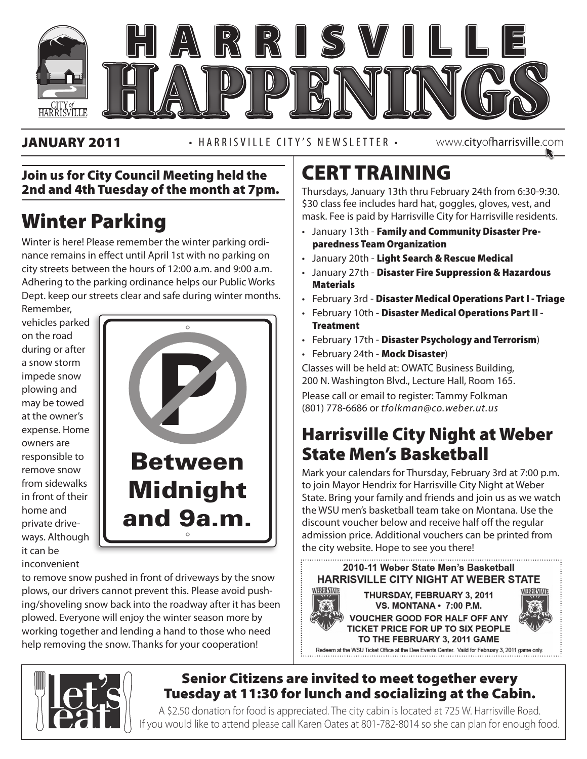

JANUARY 2011 • HARRISVILLE CITY'S NEWSLETTER •

www.cityofharrisville.com

### Join us for City Council Meeting held the 2nd and 4th Tuesday of the month at 7pm.

# Winter Parking

Winter is here! Please remember the winter parking ordinance remains in effect until April 1st with no parking on city streets between the hours of 12:00 a.m. and 9:00 a.m. Adhering to the parking ordinance helps our Public Works Dept. keep our streets clear and safe during winter months.

Remember, vehicles parked on the road during or after a snow storm impede snow plowing and may be towed at the owner's expense. Home owners are responsible to remove snow from sidewalks in front of their home and private driveways. Although it can be inconvenient



to remove snow pushed in front of driveways by the snow plows, our drivers cannot prevent this. Please avoid pushing/shoveling snow back into the roadway after it has been plowed. Everyone will enjoy the winter season more by working together and lending a hand to those who need help removing the snow. Thanks for your cooperation!

# CERT TRAINING

Thursdays, January 13th thru February 24th from 6:30-9:30. \$30 class fee includes hard hat, goggles, gloves, vest, and mask. Fee is paid by Harrisville City for Harrisville residents.

- January 13th Family and Community Disaster Preparedness Team Organization
- January 20th Light Search & Rescue Medical
- January 27th Disaster Fire Suppression & Hazardous **Materials**
- February 3rd Disaster Medical Operations Part I Triage
- February 10th Disaster Medical Operations Part II **Treatment**
- February 17th Disaster Psychology and Terrorism)
- February 24th Mock Disaster)

Classes will be held at: OWATC Business Building, 200 N. Washington Blvd., Lecture Hall, Room 165.

**1638 West Independence 12 West Independence 12 A** Please call or email to register: Tammy Folkman (801) 778-6686 or *tfolkman@co.weber.ut.us*

## Harrisville City Night at Weber State Men's Basketball

Mark your calendars for Thursday, February 3rd at 7:00 p.m. to join Mayor Hendrix for Harrisville City Night at Weber State. Bring your family and friends and join us as we watch the WSU men's basketball team take on Montana. Use the discount voucher below and receive half off the regular admission price. Additional vouchers can be printed from the city website. Hope to see you there!

2010-11 Weber State Men's Basketball **HARRISVILLE CITY NIGHT AT WEBER STATE** WEBERSTATE **WEBERSTATE** THURSDAY, FEBRUARY 3, 2011

TO THE FEBRUARY 3, 2011 GAME Redeem at the WSU Ticket Office at the Dee Events Center. Vaild for February 3, 2011 game only.



VS. MONTANA · 7:00 P.M. **VOUCHER GOOD FOR HALF OFF ANY** TICKET PRICE FOR UP TO SIX PEOPLE



## Senior Citizens are invited to meet together every Tuesday at 11:30 for lunch and socializing at the Cabin.

A \$2.50 donation for food is appreciated. The city cabin is located at 725 W. Harrisville Road. If you would like to attend please call Karen Oates at 801-782-8014 so she can plan for enough food.